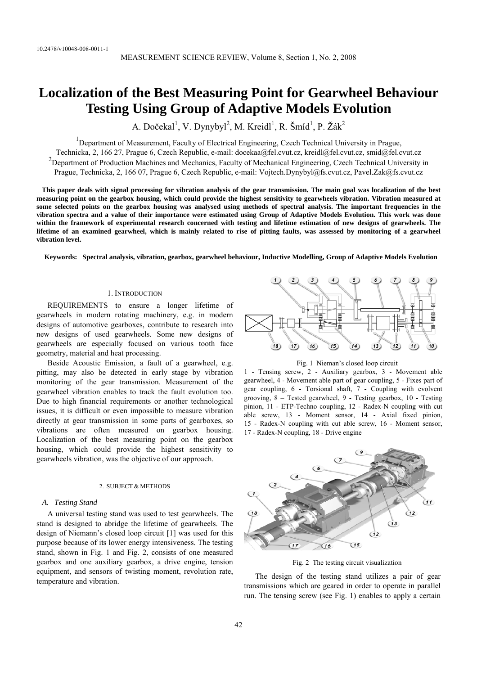# **Localization of the Best Measuring Point for Gearwheel Behaviour Testing Using Group of Adaptive Models Evolution**

A. Dočekal<sup>1</sup>, V. Dynybyl<sup>2</sup>, M. Kreidl<sup>1</sup>, R. Šmíd<sup>1</sup>, P. Žák<sup>2</sup>

<sup>1</sup>Department of Measurement, Faculty of Electrical Engineering, Czech Technical University in Prague, Technicka, 2, 166 27, Prague 6, Czech Republic, e-mail: docekaa@fel.cvut.cz, kreidl@fel.cvut.cz, smid@fel.cvut.cz <sup>2</sup> Department of Production Machines and Mechanics, Faculty of Mechanical Engineering, Czech Technical University in Prague, Technicka, 2, 166 07, Prague 6, Czech Republic, e-mail: Vojtech.Dynybyl@fs.cvut.cz, Pavel.Zak@fs.cvut.cz

 **This paper deals with signal processing for vibration analysis of the gear transmission. The main goal was localization of the best measuring point on the gearbox housing, which could provide the highest sensitivity to gearwheels vibration. Vibration measured at**  some selected points on the gearbox housing was analysed using methods of spectral analysis. The important frequencies in the **vibration spectra and a value of their importance were estimated using Group of Adaptive Models Evolution. This work was done within the framework of experimental research concerned with testing and lifetime estimation of new designs of gearwheels. The lifetime of an examined gearwheel, which is mainly related to rise of pitting faults, was assessed by monitoring of a gearwheel vibration level.** 

**Keywords: Spectral analysis, vibration, gearbox, gearwheel behaviour, Inductive Modelling, Group of Adaptive Models Evolution**

## 1. INTRODUCTION

REQUIREMENTS to ensure a longer lifetime of gearwheels in modern rotating machinery, e.g. in modern designs of automotive gearboxes, contribute to research into new designs of used gearwheels. Some new designs of gearwheels are especially focused on various tooth face geometry, material and heat processing.

Beside Acoustic Emission, a fault of a gearwheel, e.g. pitting, may also be detected in early stage by vibration monitoring of the gear transmission. Measurement of the gearwheel vibration enables to track the fault evolution too. Due to high financial requirements or another technological issues, it is difficult or even impossible to measure vibration directly at gear transmission in some parts of gearboxes, so vibrations are often measured on gearbox housing. Localization of the best measuring point on the gearbox housing, which could provide the highest sensitivity to gearwheels vibration, was the objective of our approach.

### 2. SUBJECT & METHODS

#### *A. Testing Stand*

A universal testing stand was used to test gearwheels. The stand is designed to abridge the lifetime of gearwheels. The design of Niemann's closed loop circuit [1] was used for this purpose because of its lower energy intensiveness. The testing stand, shown in Fig. 1 and Fig. 2, consists of one measured gearbox and one auxiliary gearbox, a drive engine, tension equipment, and sensors of twisting moment, revolution rate, temperature and vibration.



Fig. 1 Nieman's closed loop circuit

1 - Tensing screw, 2 - Auxiliary gearbox, 3 - Movement able gearwheel, 4 - Movement able part of gear coupling, 5 - Fixes part of gear coupling, 6 - Torsional shaft, 7 - Coupling with evolvent grooving, 8 – Tested gearwheel, 9 - Testing gearbox, 10 - Testing pinion, 11 - ETP-Techno coupling, 12 - Radex-N coupling with cut able screw, 13 - Moment sensor, 14 - Axial fixed pinion, 15 - Radex-N coupling with cut able screw, 16 - Moment sensor, 17 - Radex-N coupling, 18 - Drive engine



Fig. 2 The testing circuit visualization

The design of the testing stand utilizes a pair of gear transmissions which are geared in order to operate in parallel run. The tensing screw (see Fig. 1) enables to apply a certain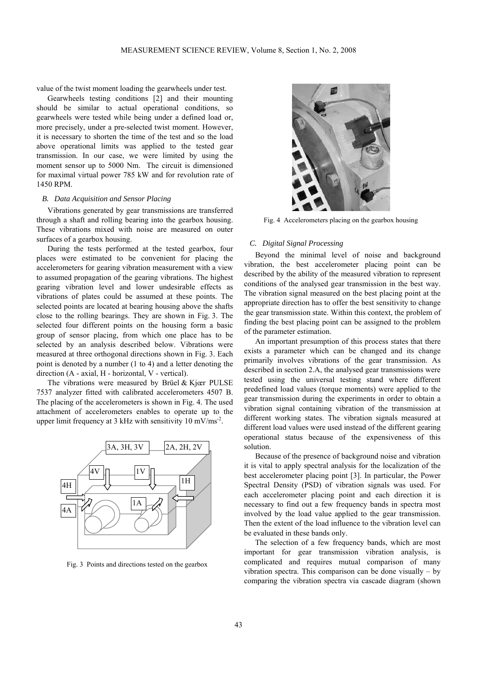value of the twist moment loading the gearwheels under test.

Gearwheels testing conditions [2] and their mounting should be similar to actual operational conditions, so gearwheels were tested while being under a defined load or, more precisely, under a pre-selected twist moment. However, it is necessary to shorten the time of the test and so the load above operational limits was applied to the tested gear transmission. In our case, we were limited by using the moment sensor up to 5000 Nm. The circuit is dimensioned for maximal virtual power 785 kW and for revolution rate of 1450 RPM.

## *B. Data Acquisition and Sensor Placing*

Vibrations generated by gear transmissions are transferred through a shaft and rolling bearing into the gearbox housing. These vibrations mixed with noise are measured on outer surfaces of a gearbox housing.

During the tests performed at the tested gearbox, four places were estimated to be convenient for placing the accelerometers for gearing vibration measurement with a view to assumed propagation of the gearing vibrations. The highest gearing vibration level and lower undesirable effects as vibrations of plates could be assumed at these points. The selected points are located at bearing housing above the shafts close to the rolling bearings. They are shown in Fig. 3. The selected four different points on the housing form a basic group of sensor placing, from which one place has to be selected by an analysis described below. Vibrations were measured at three orthogonal directions shown in Fig. 3. Each point is denoted by a number (1 to 4) and a letter denoting the direction (A - axial, H - horizontal, V - vertical).

The vibrations were measured by Brüel & Kjær PULSE 7537 analyzer fitted with calibrated accelerometers 4507 B. The placing of the accelerometers is shown in Fig. 4. The used attachment of accelerometers enables to operate up to the upper limit frequency at 3 kHz with sensitivity  $10 \text{ mV/ms}^2$ .



Fig. 3 Points and directions tested on the gearbox



Fig. 4 Accelerometers placing on the gearbox housing

# *C. Digital Signal Processing*

Beyond the minimal level of noise and background vibration, the best accelerometer placing point can be described by the ability of the measured vibration to represent conditions of the analysed gear transmission in the best way. The vibration signal measured on the best placing point at the appropriate direction has to offer the best sensitivity to change the gear transmission state. Within this context, the problem of finding the best placing point can be assigned to the problem of the parameter estimation.

An important presumption of this process states that there exists a parameter which can be changed and its change primarily involves vibrations of the gear transmission. As described in section 2.A, the analysed gear transmissions were tested using the universal testing stand where different predefined load values (torque moments) were applied to the gear transmission during the experiments in order to obtain a vibration signal containing vibration of the transmission at different working states. The vibration signals measured at different load values were used instead of the different gearing operational status because of the expensiveness of this solution.

Because of the presence of background noise and vibration it is vital to apply spectral analysis for the localization of the best accelerometer placing point [3]. In particular, the Power Spectral Density (PSD) of vibration signals was used. For each accelerometer placing point and each direction it is necessary to find out a few frequency bands in spectra most involved by the load value applied to the gear transmission. Then the extent of the load influence to the vibration level can be evaluated in these bands only.

The selection of a few frequency bands, which are most important for gear transmission vibration analysis, is complicated and requires mutual comparison of many vibration spectra. This comparison can be done visually – by comparing the vibration spectra via cascade diagram (shown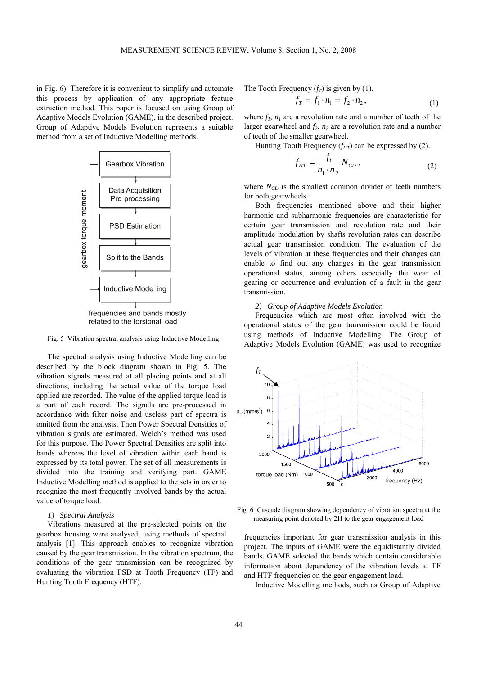in Fig. 6). Therefore it is convenient to simplify and automate this process by application of any appropriate feature extraction method. This paper is focused on using Group of Adaptive Models Evolution (GAME), in the described project. Group of Adaptive Models Evolution represents a suitable method from a set of Inductive Modelling methods.



frequencies and bands mostly related to the torsional load

Fig. 5 Vibration spectral analysis using Inductive Modelling

The spectral analysis using Inductive Modelling can be described by the block diagram shown in Fig. 5. The vibration signals measured at all placing points and at all directions, including the actual value of the torque load applied are recorded. The value of the applied torque load is a part of each record. The signals are pre-processed in accordance with filter noise and useless part of spectra is omitted from the analysis. Then Power Spectral Densities of vibration signals are estimated. Welch's method was used for this purpose. The Power Spectral Densities are split into bands whereas the level of vibration within each band is expressed by its total power. The set of all measurements is divided into the training and verifying part. GAME Inductive Modelling method is applied to the sets in order to recognize the most frequently involved bands by the actual value of torque load.

# *1) Spectral Analysis*

Vibrations measured at the pre-selected points on the gearbox housing were analysed, using methods of spectral analysis [1]. This approach enables to recognize vibration caused by the gear transmission. In the vibration spectrum, the conditions of the gear transmission can be recognized by evaluating the vibration PSD at Tooth Frequency (TF) and Hunting Tooth Frequency (HTF).

The Tooth Frequency  $(f_T)$  is given by (1).

$$
f_T = f_1 \cdot n_1 = f_2 \cdot n_2, \tag{1}
$$

where  $f_1$ ,  $n_1$  are a revolution rate and a number of teeth of the larger gearwheel and  $f_2$ ,  $n_2$  are a revolution rate and a number of teeth of the smaller gearwheel.

Hunting Tooth Frequency  $(f_{HT})$  can be expressed by (2).

$$
f_{HT} = \frac{f_t}{n_1 \cdot n_2} N_{CD},
$$
 (2)

where  $N_{CD}$  is the smallest common divider of teeth numbers for both gearwheels.

Both frequencies mentioned above and their higher harmonic and subharmonic frequencies are characteristic for certain gear transmission and revolution rate and their amplitude modulation by shafts revolution rates can describe actual gear transmission condition. The evaluation of the levels of vibration at these frequencies and their changes can enable to find out any changes in the gear transmission operational status, among others especially the wear of gearing or occurrence and evaluation of a fault in the gear transmission.

# *2) Group of Adaptive Models Evolution*

Frequencies which are most often involved with the operational status of the gear transmission could be found using methods of Inductive Modelling. The Group of Adaptive Models Evolution (GAME) was used to recognize



Fig. 6 Cascade diagram showing dependency of vibration spectra at the measuring point denoted by 2H to the gear engagement load

frequencies important for gear transmission analysis in this project. The inputs of GAME were the equidistantly divided bands. GAME selected the bands which contain considerable information about dependency of the vibration levels at TF and HTF frequencies on the gear engagement load.

Inductive Modelling methods, such as Group of Adaptive